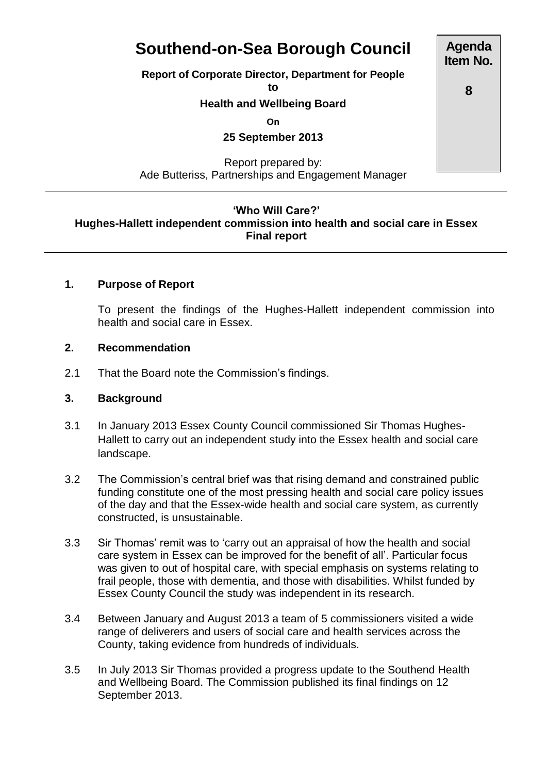# **Southend-on-Sea Borough Council**

**Report of Corporate Director, Department for People**

**to**

#### **Health and Wellbeing Board**

**On**

**25 September 2013**

Report prepared by: Ade Butteriss, Partnerships and Engagement Manager

#### **'Who Will Care?' Hughes-Hallett independent commission into health and social care in Essex**

## **Final report**

#### **1. Purpose of Report**

To present the findings of the Hughes-Hallett independent commission into health and social care in Essex.

#### **2. Recommendation**

2.1 That the Board note the Commission's findings.

#### **3. Background**

- 3.1 In January 2013 Essex County Council commissioned Sir Thomas Hughes-Hallett to carry out an independent study into the Essex health and social care landscape.
- 3.2 The Commission's central brief was that rising demand and constrained public funding constitute one of the most pressing health and social care policy issues of the day and that the Essex-wide health and social care system, as currently constructed, is unsustainable.
- 3.3 Sir Thomas' remit was to 'carry out an appraisal of how the health and social care system in Essex can be improved for the benefit of all'. Particular focus was given to out of hospital care, with special emphasis on systems relating to frail people, those with dementia, and those with disabilities. Whilst funded by Essex County Council the study was independent in its research.
- 3.4 Between January and August 2013 a team of 5 commissioners visited a wide range of deliverers and users of social care and health services across the County, taking evidence from hundreds of individuals.
- 3.5 In July 2013 Sir Thomas provided a progress update to the Southend Health and Wellbeing Board. The Commission published its final findings on 12 September 2013.

**Item No.**

**Agenda**

**8**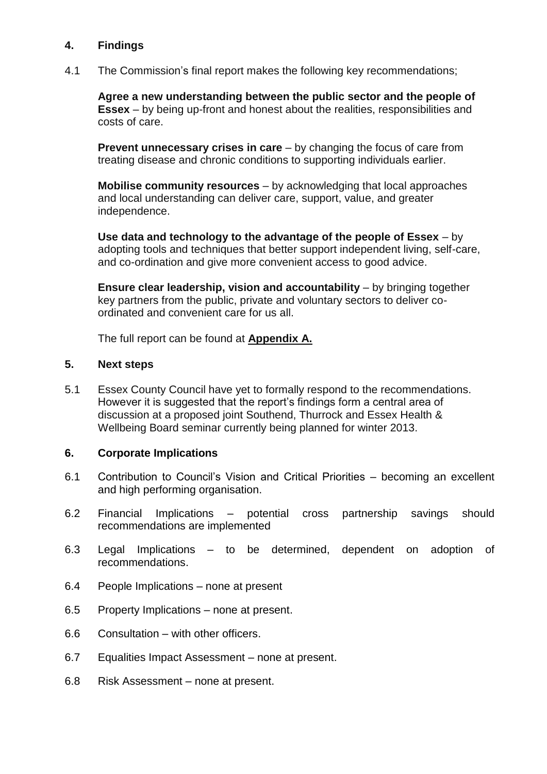#### **4. Findings**

4.1 The Commission's final report makes the following key recommendations;

**[Agree a new understanding between the public sector and the people of](http://www.essexpartnershipportal.org/pages/index.php?page=our-first-solution)  [Essex](http://www.essexpartnershipportal.org/pages/index.php?page=our-first-solution)** – by being up-front and honest about the realities, responsibilities and costs of care.

**[Prevent unnecessary crises in care](http://www.essexpartnershipportal.org/pages/index.php?page=our-second-solution)** – by changing the focus of care from treating disease and chronic conditions to supporting individuals earlier.

**Mobilise community resources** – by acknowledging that local approaches and local understanding can deliver care, support, value, and greater independence.

**[Use data and technology to the advantage of the people of Essex](http://www.essexpartnershipportal.org/pages/index.php?page=our-fourth-solution)** – by adopting tools and techniques that better support independent living, self-care, and co-ordination and give more convenient access to good advice.

**[Ensure clear leadership, vision and accountability](http://www.essexpartnershipportal.org/pages/index.php?page=our-fifth-solution)** – by bringing together key partners from the public, private and voluntary sectors to deliver coordinated and convenient care for us all.

The full report can be found at **Appendix A.**

#### **5. Next steps**

5.1 Essex County Council have yet to formally respond to the recommendations. However it is suggested that the report's findings form a central area of discussion at a proposed joint Southend, Thurrock and Essex Health & Wellbeing Board seminar currently being planned for winter 2013.

#### **6. Corporate Implications**

- 6.1 Contribution to Council's Vision and Critical Priorities becoming an excellent and high performing organisation.
- 6.2 Financial Implications potential cross partnership savings should recommendations are implemented
- 6.3 Legal Implications to be determined, dependent on adoption of recommendations.
- 6.4 People Implications none at present
- 6.5 Property Implications none at present.
- 6.6 Consultation with other officers.
- 6.7 Equalities Impact Assessment none at present.
- 6.8 Risk Assessment none at present.